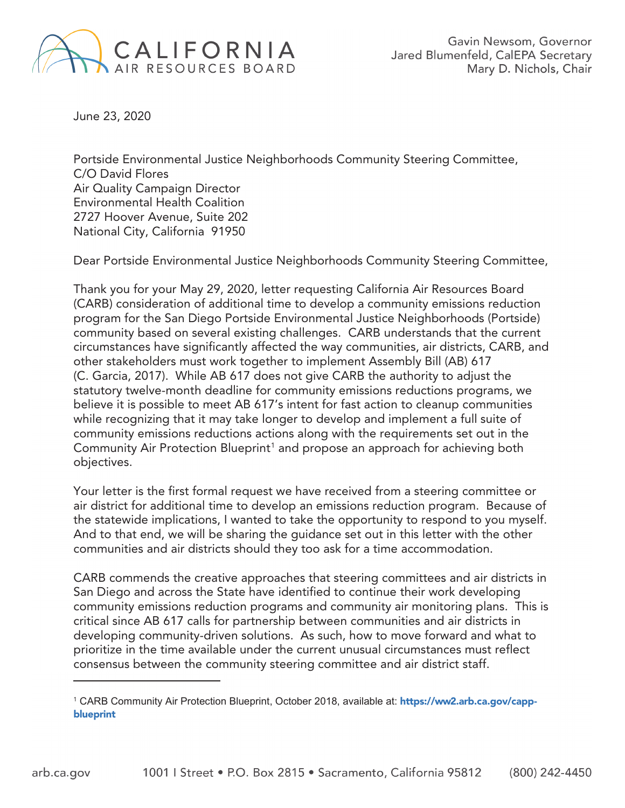

June 23, 2020

Portside Environmental Justice Neighborhoods Community Steering Committee, C/O David Flores Air Quality Campaign Director Environmental Health Coalition 2727 Hoover Avenue, Suite 202 National City, California 91950

Dear Portside Environmental Justice Neighborhoods Community Steering Committee,

Thank you for your May 29, 2020, letter requesting California Air Resources Board (CARB) consideration of additional time to develop a community emissions reduction program for the San Diego Portside Environmental Justice Neighborhoods (Portside) community based on several existing challenges. CARB understands that the current circumstances have significantly affected the way communities, air districts, CARB, and other stakeholders must work together to implement Assembly Bill (AB) 617 (C. Garcia, 2017). While AB 617 does not give CARB the authority to adjust the statutory twelve-month deadline for community emissions reductions programs, we believe it is possible to meet AB 617's intent for fast action to cleanup communities while recognizing that it may take longer to develop and implement a full suite of community emissions reductions actions along with the requirements set out in the Community Air Protection Blueprint<sup>1</sup> and propose an approach for achieving both objectives.

Your letter is the first formal request we have received from a steering committee or air district for additional time to develop an emissions reduction program. Because of the statewide implications, I wanted to take the opportunity to respond to you myself. And to that end, we will be sharing the guidance set out in this letter with the other communities and air districts should they too ask for a time accommodation.

CARB commends the creative approaches that steering committees and air districts in San Diego and across the State have identified to continue their work developing community emissions reduction programs and community air monitoring plans. This is critical since AB 617 calls for partnership between communities and air districts in developing community-driven solutions. As such, how to move forward and what to prioritize in the time available under the current unusual circumstances must reflect consensus between the community steering committee and air district staff.

<sup>&</sup>lt;sup>1</sup> CARB Community Air Protection Blueprint, October 2018, available at: **https://ww2.arb.ca.gov/capp-**<br>**bluonrint blueprint**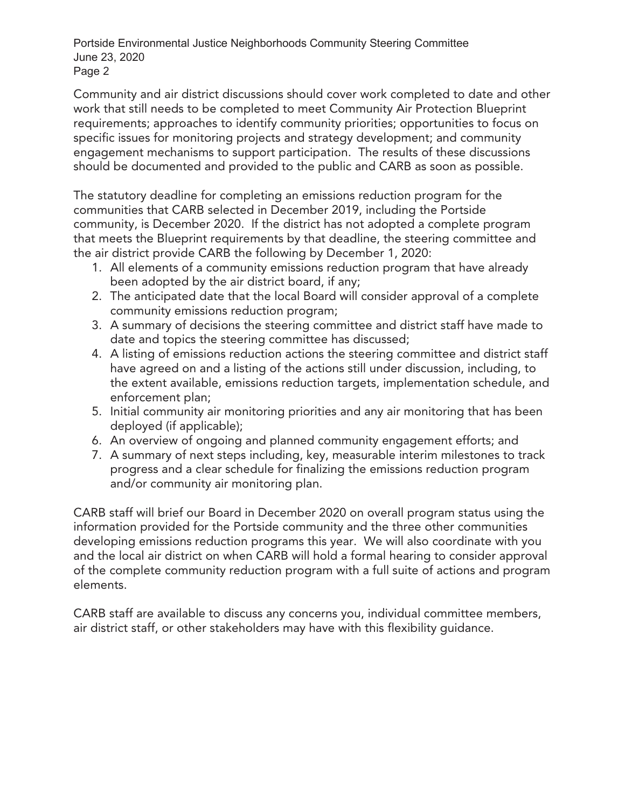Portside Environmental Justice Neighborhoods Community Steering Committee June 23, 2020 Page 2

Community and air district discussions should cover work completed to date and other work that still needs to be completed to meet Community Air Protection Blueprint requirements; approaches to identify community priorities; opportunities to focus on specific issues for monitoring projects and strategy development; and community engagement mechanisms to support participation. The results of these discussions should be documented and provided to the public and CARB as soon as possible.

The statutory deadline for completing an emissions reduction program for the communities that CARB selected in December 2019, including the Portside community, is December 2020. If the district has not adopted a complete program that meets the Blueprint requirements by that deadline, the steering committee and the air district provide CARB the following by December 1, 2020:

- 1. All elements of a community emissions reduction program that have already been adopted by the air district board, if any;
- 2. The anticipated date that the local Board will consider approval of a complete community emissions reduction program;
- 3. A summary of decisions the steering committee and district staff have made to date and topics the steering committee has discussed;
- 4. A listing of emissions reduction actions the steering committee and district staff have agreed on and a listing of the actions still under discussion, including, to the extent available, emissions reduction targets, implementation schedule, and enforcement plan;
- 5. Initial community air monitoring priorities and any air monitoring that has been deployed (if applicable);
- 6. An overview of ongoing and planned community engagement efforts; and
- 7. A summary of next steps including, key, measurable interim milestones to track progress and a clear schedule for finalizing the emissions reduction program and/or community air monitoring plan.

CARB staff will brief our Board in December 2020 on overall program status using the information provided for the Portside community and the three other communities developing emissions reduction programs this year. We will also coordinate with you and the local air district on when CARB will hold a formal hearing to consider approval of the complete community reduction program with a full suite of actions and program elements.

CARB staff are available to discuss any concerns you, individual committee members, air district staff, or other stakeholders may have with this flexibility guidance.